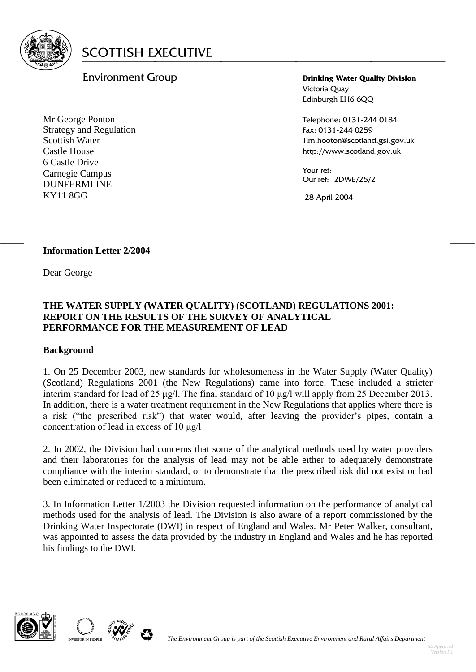

## Environment Group

Mr George Ponton Strategy and Regulation Scottish Water Castle House 6 Castle Drive Carnegie Campus DUNFERMLINE KY11 8GG

**Drinking Water Quality Division** Victoria Quay Edinburgh EH6 6QQ

Telephone: 0131-244 0184 Fax: 0131-244 0259 Tim.hooton@scotland.gsi.gov.uk http://www.scotland.gov.uk

Your ref: Our ref: 2DWE/25/2

28 April 2004

#### **Information Letter 2/2004**

Dear George

#### **THE WATER SUPPLY (WATER QUALITY) (SCOTLAND) REGULATIONS 2001: REPORT ON THE RESULTS OF THE SURVEY OF ANALYTICAL PERFORMANCE FOR THE MEASUREMENT OF LEAD**

 $\frac{1}{2}$  , the contribution of the contribution of the contribution of the contribution of the contribution of the contribution of the contribution of the contribution of the contribution of the contribution of the contr

#### **Background**

1. On 25 December 2003, new standards for wholesomeness in the Water Supply (Water Quality) (Scotland) Regulations 2001 (the New Regulations) came into force. These included a stricter interim standard for lead of 25 μg/l. The final standard of 10 μg/l will apply from 25 December 2013. In addition, there is a water treatment requirement in the New Regulations that applies where there is a risk ("the prescribed risk") that water would, after leaving the provider's pipes, contain a concentration of lead in excess of 10 μg/l

2. In 2002, the Division had concerns that some of the analytical methods used by water providers and their laboratories for the analysis of lead may not be able either to adequately demonstrate compliance with the interim standard, or to demonstrate that the prescribed risk did not exist or had been eliminated or reduced to a minimum.

3. In Information Letter 1/2003 the Division requested information on the performance of analytical methods used for the analysis of lead. The Division is also aware of a report commissioned by the Drinking Water Inspectorate (DWI) in respect of England and Wales. Mr Peter Walker, consultant, was appointed to assess the data provided by the industry in England and Wales and he has reported his findings to the DWI.



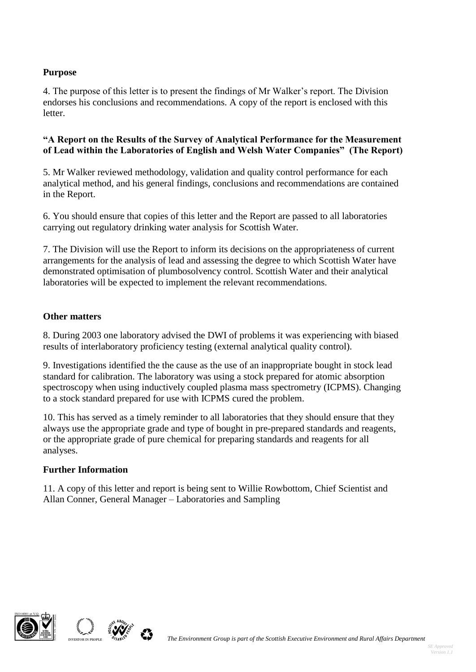### **Purpose**

4. The purpose of this letter is to present the findings of Mr Walker's report. The Division endorses his conclusions and recommendations. A copy of the report is enclosed with this letter.

#### **"A Report on the Results of the Survey of Analytical Performance for the Measurement of Lead within the Laboratories of English and Welsh Water Companies" (The Report)**

5. Mr Walker reviewed methodology, validation and quality control performance for each analytical method, and his general findings, conclusions and recommendations are contained in the Report.

6. You should ensure that copies of this letter and the Report are passed to all laboratories carrying out regulatory drinking water analysis for Scottish Water.

7. The Division will use the Report to inform its decisions on the appropriateness of current arrangements for the analysis of lead and assessing the degree to which Scottish Water have demonstrated optimisation of plumbosolvency control. Scottish Water and their analytical laboratories will be expected to implement the relevant recommendations.

#### **Other matters**

8. During 2003 one laboratory advised the DWI of problems it was experiencing with biased results of interlaboratory proficiency testing (external analytical quality control).

9. Investigations identified the the cause as the use of an inappropriate bought in stock lead standard for calibration. The laboratory was using a stock prepared for atomic absorption spectroscopy when using inductively coupled plasma mass spectrometry (ICPMS). Changing to a stock standard prepared for use with ICPMS cured the problem.

10. This has served as a timely reminder to all laboratories that they should ensure that they always use the appropriate grade and type of bought in pre-prepared standards and reagents, or the appropriate grade of pure chemical for preparing standards and reagents for all analyses.

#### **Further Information**

11. A copy of this letter and report is being sent to Willie Rowbottom, Chief Scientist and Allan Conner, General Manager – Laboratories and Sampling



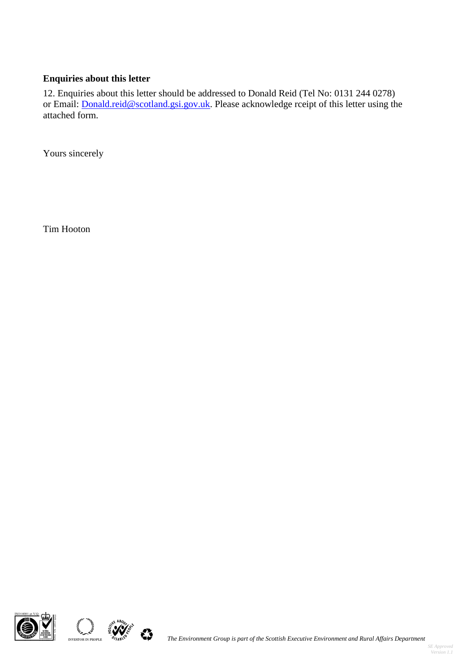# **Enquiries about this letter**

12. Enquiries about this letter should be addressed to Donald Reid (Tel No: 0131 244 0278) or Email: **Donald.reid@scotland.gsi.gov.uk**. Please acknowledge rceipt of this letter using the attached form.

Yours sincerely

Tim Hooton